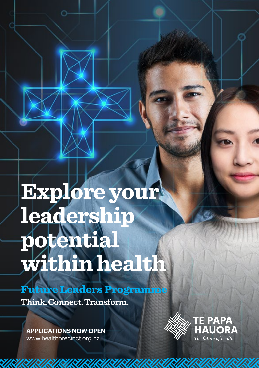# **Explore your leadership potential within health**

Future Leaders Programme **Think. Connect. Transform.**

**APPLICATIONS NOW OPEN** [www.healthprecinct.org.nz](http://www.healthprecinct.org.nz)